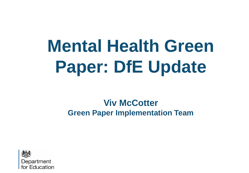# **Mental Health Green Paper: DfE Update**

### **Viv McCotter Green Paper Implementation Team**

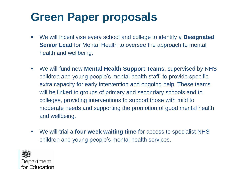# **Green Paper proposals**

- We will incentivise every school and college to identify a **Designated Senior Lead** for Mental Health to oversee the approach to mental health and wellbeing.
- We will fund new **Mental Health Support Teams**, supervised by NHS children and young people's mental health staff, to provide specific extra capacity for early intervention and ongoing help. These teams will be linked to groups of primary and secondary schools and to colleges, providing interventions to support those with mild to moderate needs and supporting the promotion of good mental health and wellbeing.
- We will trial a **four week waiting time** for access to specialist NHS children and young people's mental health services.



Department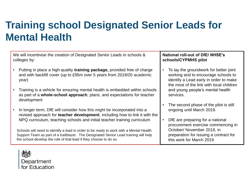# **Training school Designated Senior Leads for Mental Health**

We will incentivise the creation of Designated Senior Leads in schools & colleges by:

- Putting in place a high-quality **training package,** provided free of charge and with backfill cover (up to £95m over 5 years from 2019/20 academic year)
- Training is a vehicle for ensuring mental health is embedded within schools as part of a **whole-school approach**; plans, and expectations for teacher development
- In longer term, DfE will consider how this might be incorporated into a revised approach for **teacher development**, including how to link it with the NPQ curriculum, teaching schools and initial teacher training curriculum

Schools will need to identify a lead in order to be ready to work with a Mental Health Support Team as part of a trailblazer. The Designated Senior Lead training will help the school develop the role of that lead if they choose to do so.

#### **National roll-out of DfE/ NHSE's schools/CYPMHS pilot**

- To lay the groundwork for better joint working and to encourage schools to identify a Lead early in order to make the most of the link with local children and young people's mental health services.
- The second phase of the pilot is still ongoing until March 2019.
- DfE are preparing for a national procurement exercise commencing in October/ November 2018, in preparation for issuing a contract for this work for March 2019

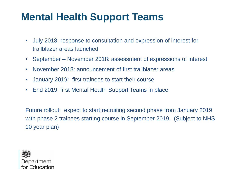# **Mental Health Support Teams**

- July 2018: response to consultation and expression of interest for trailblazer areas launched
- September November 2018: assessment of expressions of interest
- November 2018: announcement of first trailblazer areas
- January 2019: first trainees to start their course
- End 2019: first Mental Health Support Teams in place

Future rollout: expect to start recruiting second phase from January 2019 with phase 2 trainees starting course in September 2019. (Subject to NHS 10 year plan)

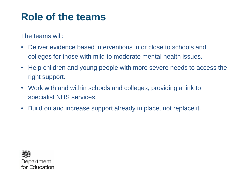# **Role of the teams**

The teams will:

- Deliver evidence based interventions in or close to schools and colleges for those with mild to moderate mental health issues.
- Help children and young people with more severe needs to access the right support.
- Work with and within schools and colleges, providing a link to specialist NHS services.
- Build on and increase support already in place, not replace it.

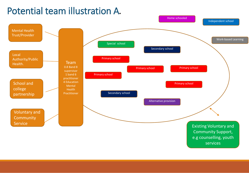### Potential team illustration A**.**

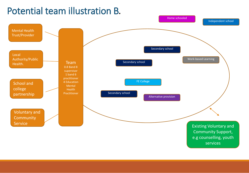### Potential team illustration B**.**

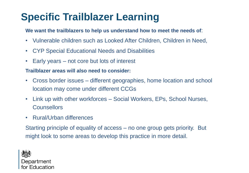# **Specific Trailblazer Learning**

#### **We want the trailblazers to help us understand how to meet the needs of**:

- Vulnerable children such as Looked After Children, Children in Need,
- CYP Special Educational Needs and Disabilities
- Early years not core but lots of interest

#### **Trailblazer areas will also need to consider:**

- Cross border issues different geographies, home location and school location may come under different CCGs
- Link up with other workforces Social Workers, EPs, School Nurses, **Counsellors**
- Rural/Urban differences

Starting principle of equality of access – no one group gets priority. But might look to some areas to develop this practice in more detail.

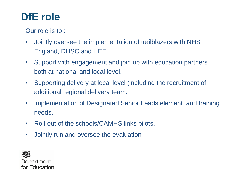## **DfE role**

Our role is to :

- Jointly oversee the implementation of trailblazers with NHS England, DHSC and HEE.
- Support with engagement and join up with education partners both at national and local level.
- Supporting delivery at local level (including the recruitment of additional regional delivery team.
- Implementation of Designated Senior Leads element and training needs.
- Roll-out of the schools/CAMHS links pilots.
- Jointly run and oversee the evaluation

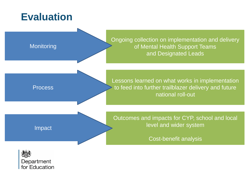## **Evaluation**



for Education